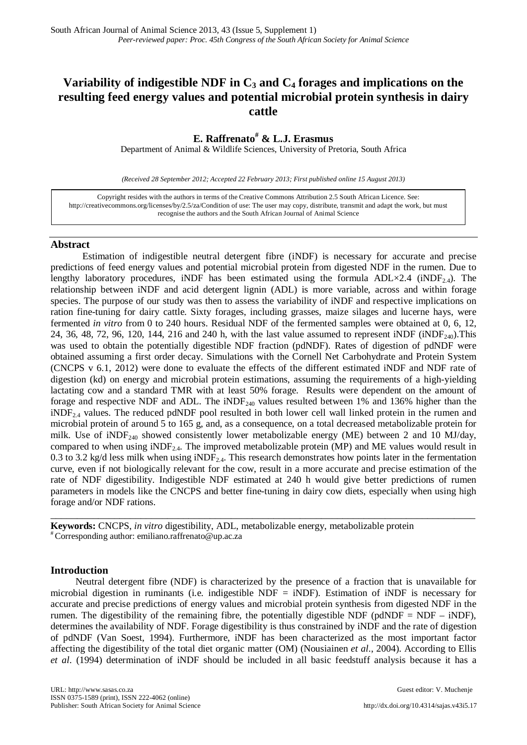# **Variability of indigestible NDF in**  $C_3$  **and**  $C_4$  **forages and implications on the resulting feed energy values and potential microbial protein synthesis in dairy cattle**

## **E. Raffrenato# & L.J. Erasmus**

Department of Animal & Wildlife Sciences, University of Pretoria, South Africa

*(Received 28 September 2012; Accepted 22 February 2013; First published online 15 August 2013)*

Copyright resides with the authors in terms of the Creative Commons Attribution 2.5 South African Licence. See: [http://creativecommons.org/licenses/by/2.5/za/C](http://creativecommons.org/licenses/by/2.5/za/)ondition of use: The user may copy, distribute, transmit and adapt the work, but must recognise the authors and the South African Journal of Animal Science

### **Abstract**

Estimation of indigestible neutral detergent fibre (iNDF) is necessary for accurate and precise predictions of feed energy values and potential microbial protein from digested NDF in the rumen. Due to lengthy laboratory procedures, iNDF has been estimated using the formula  $ADL \times 2.4$  (iNDF<sub>2.4</sub>). The relationship between iNDF and acid detergent lignin (ADL) is more variable, across and within forage species. The purpose of our study was then to assess the variability of iNDF and respective implications on ration fine-tuning for dairy cattle. Sixty forages, including grasses, maize silages and lucerne hays, were fermented *in vitro* from 0 to 240 hours. Residual NDF of the fermented samples were obtained at 0, 6, 12, 24, 36, 48, 72, 96, 120, 144, 216 and 240 h, with the last value assumed to represent iNDF (iNDF<sub>240</sub>). This was used to obtain the potentially digestible NDF fraction (pdNDF). Rates of digestion of pdNDF were obtained assuming a first order decay. Simulations with the Cornell Net Carbohydrate and Protein System (CNCPS v 6.1, 2012) were done to evaluate the effects of the different estimated iNDF and NDF rate of digestion (kd) on energy and microbial protein estimations, assuming the requirements of a high-yielding lactating cow and a standard TMR with at least 50% forage. Results were dependent on the amount of forage and respective NDF and ADL. The iNDF<sub>240</sub> values resulted between 1% and 136% higher than the  $iNDF_{2.4}$  values. The reduced pdNDF pool resulted in both lower cell wall linked protein in the rumen and microbial protein of around 5 to 165 g, and, as a consequence, on a total decreased metabolizable protein for milk. Use of  $iNDF_{240}$  showed consistently lower metabolizable energy (ME) between 2 and 10 MJ/day, compared to when using  $iNDF_{2,4}$ . The improved metabolizable protein (MP) and ME values would result in 0.3 to 3.2 kg/d less milk when using  $iNDF_{2,4}$ . This research demonstrates how points later in the fermentation curve, even if not biologically relevant for the cow, result in a more accurate and precise estimation of the rate of NDF digestibility. Indigestible NDF estimated at 240 h would give better predictions of rumen parameters in models like the CNCPS and better fine-tuning in dairy cow diets, especially when using high forage and/or NDF rations.

**Keywords:** CNCPS, *in vitro* digestibility, ADL, metabolizable energy, metabolizable protein # Corresponding author: emiliano.raffrenato@up.ac.za

### **Introduction**

Neutral detergent fibre (NDF) is characterized by the presence of a fraction that is unavailable for microbial digestion in ruminants (i.e. indigestible NDF = iNDF). Estimation of iNDF is necessary for accurate and precise predictions of energy values and microbial protein synthesis from digested NDF in the rumen. The digestibility of the remaining fibre, the potentially digestible NDF (pdNDF = NDF – iNDF), determines the availability of NDF. Forage digestibility is thus constrained by iNDF and the rate of digestion of pdNDF (Van Soest, 1994). Furthermore, iNDF has been characterized as the most important factor affecting the digestibility of the total diet organic matter (OM) (Nousiainen *et al*., 2004). According to Ellis *et al*. (1994) determination of iNDF should be included in all basic feedstuff analysis because it has a

\_\_\_\_\_\_\_\_\_\_\_\_\_\_\_\_\_\_\_\_\_\_\_\_\_\_\_\_\_\_\_\_\_\_\_\_\_\_\_\_\_\_\_\_\_\_\_\_\_\_\_\_\_\_\_\_\_\_\_\_\_\_\_\_\_\_\_\_\_\_\_\_\_\_\_\_\_\_\_\_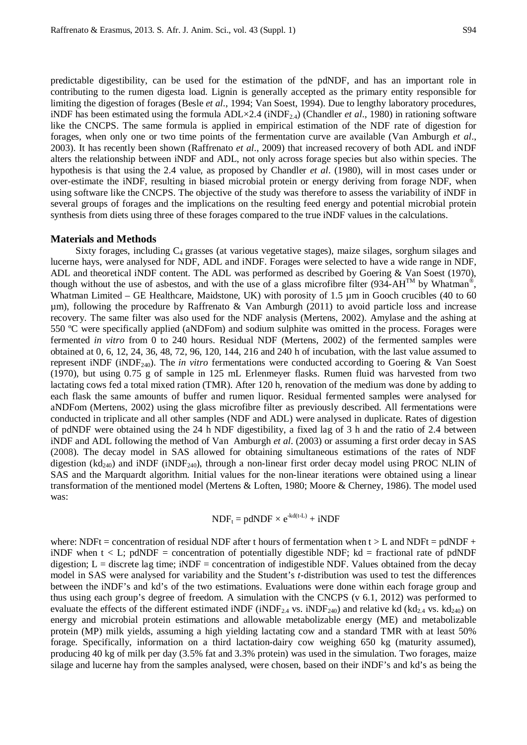predictable digestibility, can be used for the estimation of the pdNDF, and has an important role in contributing to the rumen digesta load. Lignin is generally accepted as the primary entity responsible for limiting the digestion of forages (Besle *et al*., 1994; Van Soest, 1994). Due to lengthy laboratory procedures, iNDF has been estimated using the formula  $ADL \times 2.4$  (iNDF<sub>2.4</sub>) (Chandler *et al.*, 1980) in rationing software like the CNCPS. The same formula is applied in empirical estimation of the NDF rate of digestion for forages, when only one or two time points of the fermentation curve are available (Van Amburgh *et al*., 2003). It has recently been shown (Raffrenato *et al*., 2009) that increased recovery of both ADL and iNDF alters the relationship between iNDF and ADL, not only across forage species but also within species. The hypothesis is that using the 2.4 value, as proposed by Chandler *et al*. (1980), will in most cases under or over-estimate the iNDF, resulting in biased microbial protein or energy deriving from forage NDF, when using software like the CNCPS. The objective of the study was therefore to assess the variability of iNDF in several groups of forages and the implications on the resulting feed energy and potential microbial protein synthesis from diets using three of these forages compared to the true iNDF values in the calculations.

#### **Materials and Methods**

Sixty forages, including  $C_4$  grasses (at various vegetative stages), maize silages, sorghum silages and lucerne hays, were analysed for NDF, ADL and iNDF. Forages were selected to have a wide range in NDF, ADL and theoretical iNDF content. The ADL was performed as described by Goering & Van Soest (1970), though without the use of asbestos, and with the use of a glass microfibre filter (934-AH<sup>TM</sup> by Whatman<sup>®</sup>, Whatman Limited – GE Healthcare, Maidstone, UK) with porosity of 1.5  $\mu$ m in Gooch crucibles (40 to 60 µm), following the procedure by Raffrenato & Van Amburgh (2011) to avoid particle loss and increase recovery. The same filter was also used for the NDF analysis (Mertens, 2002). Amylase and the ashing at 550 ºC were specifically applied (aNDFom) and sodium sulphite was omitted in the process. Forages were fermented *in vitro* from 0 to 240 hours. Residual NDF (Mertens, 2002) of the fermented samples were obtained at 0, 6, 12, 24, 36, 48, 72, 96, 120, 144, 216 and 240 h of incubation, with the last value assumed to represent iNDF (iNDF240). The *in vitro* fermentations were conducted according to Goering & Van Soest (1970), but using 0.75 g of sample in 125 mL Erlenmeyer flasks. Rumen fluid was harvested from two lactating cows fed a total mixed ration (TMR). After 120 h, renovation of the medium was done by adding to each flask the same amounts of buffer and rumen liquor. Residual fermented samples were analysed for aNDFom (Mertens, 2002) using the glass microfibre filter as previously described. All fermentations were conducted in triplicate and all other samples (NDF and ADL) were analysed in duplicate. Rates of digestion of pdNDF were obtained using the 24 h NDF digestibility, a fixed lag of 3 h and the ratio of 2.4 between iNDF and ADL following the method of Van Amburgh *et al*. (2003) or assuming a first order decay in SAS (2008). The decay model in SAS allowed for obtaining simultaneous estimations of the rates of NDF digestion (kd<sub>240</sub>) and iNDF (iNDF<sub>240</sub>), through a non-linear first order decay model using PROC NLIN of SAS and the Marquardt algorithm. Initial values for the non-linear iterations were obtained using a linear transformation of the mentioned model (Mertens & Loften, 1980; Moore & Cherney, 1986). The model used was:

# $NDF_t = pdNDF \times e^{-kd(t-L)} + iNDF$

where: NDFt = concentration of residual NDF after t hours of fermentation when  $t > L$  and NDFt = pdNDF + iNDF when  $t < L$ ; pdNDF = concentration of potentially digestible NDF; kd = fractional rate of pdNDF digestion;  $L =$  discrete lag time;  $iNDF =$  concentration of indigestible NDF. Values obtained from the decay model in SAS were analysed for variability and the Student's *t*-distribution was used to test the differences between the iNDF's and kd's of the two estimations. Evaluations were done within each forage group and thus using each group's degree of freedom. A simulation with the CNCPS (v 6.1, 2012) was performed to evaluate the effects of the different estimated iNDF (iNDF<sub>2.4</sub> vs. iNDF<sub>240</sub>) and relative kd (kd<sub>2.4</sub> vs. kd<sub>240</sub>) on energy and microbial protein estimations and allowable metabolizable energy (ME) and metabolizable protein (MP) milk yields, assuming a high yielding lactating cow and a standard TMR with at least 50% forage. Specifically, information on a third lactation-dairy cow weighing 650 kg (maturity assumed), producing 40 kg of milk per day (3.5% fat and 3.3% protein) was used in the simulation. Two forages, maize silage and lucerne hay from the samples analysed, were chosen, based on their iNDF's and kd's as being the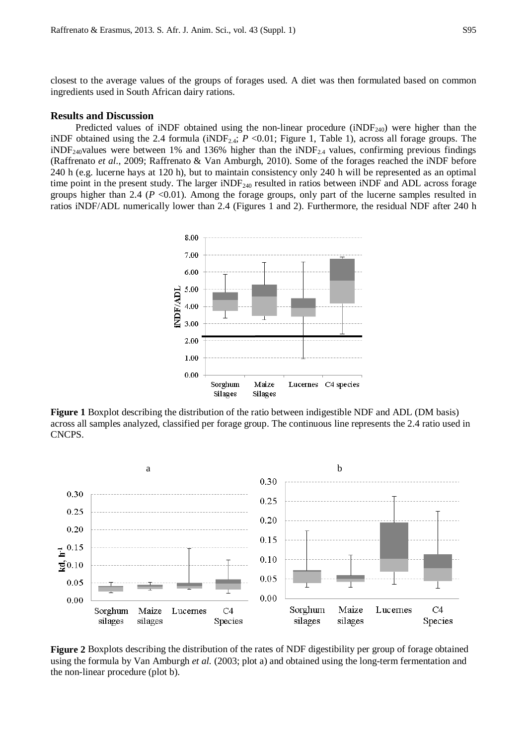closest to the average values of the groups of forages used. A diet was then formulated based on common ingredients used in South African dairy rations.

#### **Results and Discussion**

Predicted values of iNDF obtained using the non-linear procedure ( $iNDF<sub>240</sub>$ ) were higher than the iNDF obtained using the 2.4 formula (iNDF<sub>2.4</sub>;  $P \le 0.01$ ; Figure 1, Table 1), across all forage groups. The  $iNDF_{240}$ values were between 1% and 136% higher than the  $iNDF_{24}$  values, confirming previous findings (Raffrenato *et al*., 2009; Raffrenato & Van Amburgh, 2010). Some of the forages reached the iNDF before 240 h (e.g. lucerne hays at 120 h), but to maintain consistency only 240 h will be represented as an optimal time point in the present study. The larger iNDF $_{240}$  resulted in ratios between iNDF and ADL across forage groups higher than 2.4 ( $P < 0.01$ ). Among the forage groups, only part of the lucerne samples resulted in ratios iNDF/ADL numerically lower than 2.4 (Figures 1 and 2). Furthermore, the residual NDF after 240 h



**Figure 1** Boxplot describing the distribution of the ratio between indigestible NDF and ADL (DM basis) across all samples analyzed, classified per forage group. The continuous line represents the 2.4 ratio used in CNCPS.



**Figure 2** Boxplots describing the distribution of the rates of NDF digestibility per group of forage obtained using the formula by Van Amburgh *et al.* (2003; plot a) and obtained using the long-term fermentation and the non-linear procedure (plot b).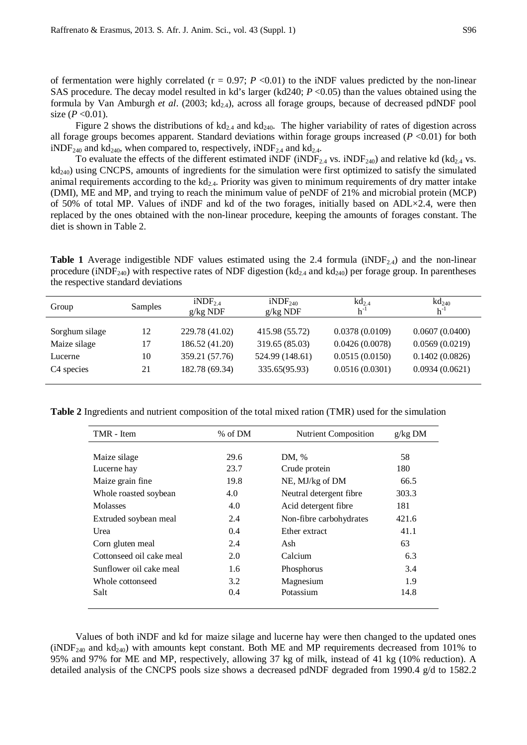of fermentation were highly correlated  $(r = 0.97; P \le 0.01)$  to the iNDF values predicted by the non-linear SAS procedure. The decay model resulted in kd's larger (kd240; *P* <0.05) than the values obtained using the formula by Van Amburgh *et al.* (2003; kd<sub>24</sub>), across all forage groups, because of decreased pdNDF pool size  $(P < 0.01)$ .

Figure 2 shows the distributions of  $kd_{2.4}$  and  $kd_{240}$ . The higher variability of rates of digestion across all forage groups becomes apparent. Standard deviations within forage groups increased (*P* <0.01) for both  $iNDF_{240}$  and kd<sub>240</sub>, when compared to, respectively,  $iNDF_{24}$  and kd<sub>2.4</sub>.

To evaluate the effects of the different estimated iNDF (iNDF<sub>2.4</sub> vs. iNDF<sub>240</sub>) and relative kd (kd<sub>2.4</sub> vs.  $kd<sub>240</sub>$ ) using CNCPS, amounts of ingredients for the simulation were first optimized to satisfy the simulated animal requirements according to the  $kd_{2,4}$ . Priority was given to minimum requirements of dry matter intake (DMI), ME and MP, and trying to reach the minimum value of peNDF of 21% and microbial protein (MCP) of 50% of total MP. Values of iNDF and kd of the two forages, initially based on ADL×2.4, were then replaced by the ones obtained with the non-linear procedure, keeping the amounts of forages constant. The diet is shown in Table 2.

**Table 1** Average indigestible NDF values estimated using the 2.4 formula (iNDF<sub>24</sub>) and the non-linear procedure (iNDF<sub>240</sub>) with respective rates of NDF digestion (kd<sub>2.4</sub> and kd<sub>240</sub>) per forage group. In parentheses the respective standard deviations

| Group                  | <b>Samples</b>  | iNDF <sub>2.4</sub><br>$g/kg$ NDF | $iNDF_{240}$<br>$g/kg$ NDF | $\text{kd}_{2,4}$<br>$h^{-1}$ | $\text{kd}_{240}$<br>$h^{-1}$ |
|------------------------|-----------------|-----------------------------------|----------------------------|-------------------------------|-------------------------------|
| Sorghum silage         | 12              | 229.78 (41.02)                    | 415.98 (55.72)             | 0.0378(0.0109)                | 0.0607(0.0400)                |
| Maize silage           | $\overline{17}$ | 186.52 (41.20)                    | 319.65 (85.03)             | 0.0426(0.0078)                | 0.0569(0.0219)                |
| Lucerne                | 10              | 359.21 (57.76)                    | 524.99 (148.61)            | 0.0515(0.0150)                | 0.1402(0.0826)                |
| C <sub>4</sub> species | 21              | 182.78 (69.34)                    | 335.65(95.93)              | 0.0516(0.0301)                | 0.0934(0.0621)                |

**Table 2** Ingredients and nutrient composition of the total mixed ration (TMR) used for the simulation

| TMR - Item               | % of DM | <b>Nutrient Composition</b> | g/kg DM |
|--------------------------|---------|-----------------------------|---------|
|                          |         |                             |         |
| Maize silage             | 29.6    | DM, %                       | 58      |
| Lucerne hay              | 23.7    | Crude protein               | 180     |
| Maize grain fine         | 19.8    | NE, MJ/kg of DM             | 66.5    |
| Whole roasted soybean    | 4.0     | Neutral detergent fibre     | 303.3   |
| <b>Molasses</b>          | 4.0     | Acid detergent fibre        | 181     |
| Extruded soybean meal    | 2.4     | Non-fibre carbohydrates     | 421.6   |
| Urea                     | 0.4     | Ether extract               | 41.1    |
| Corn gluten meal         | 2.4     | Ash                         | 63      |
| Cottonseed oil cake meal | 2.0     | Calcium                     | 6.3     |
| Sunflower oil cake meal  | 1.6     | Phosphorus                  | 3.4     |
| Whole cottonseed         | 3.2     | Magnesium                   | 1.9     |
| Salt                     | 0.4     | Potassium                   | 14.8    |
|                          |         |                             |         |

Values of both iNDF and kd for maize silage and lucerne hay were then changed to the updated ones  $(iNDF<sub>240</sub>$  and kd<sub>240</sub>) with amounts kept constant. Both ME and MP requirements decreased from 101% to 95% and 97% for ME and MP, respectively, allowing 37 kg of milk, instead of 41 kg (10% reduction). A detailed analysis of the CNCPS pools size shows a decreased pdNDF degraded from 1990.4 g/d to 1582.2